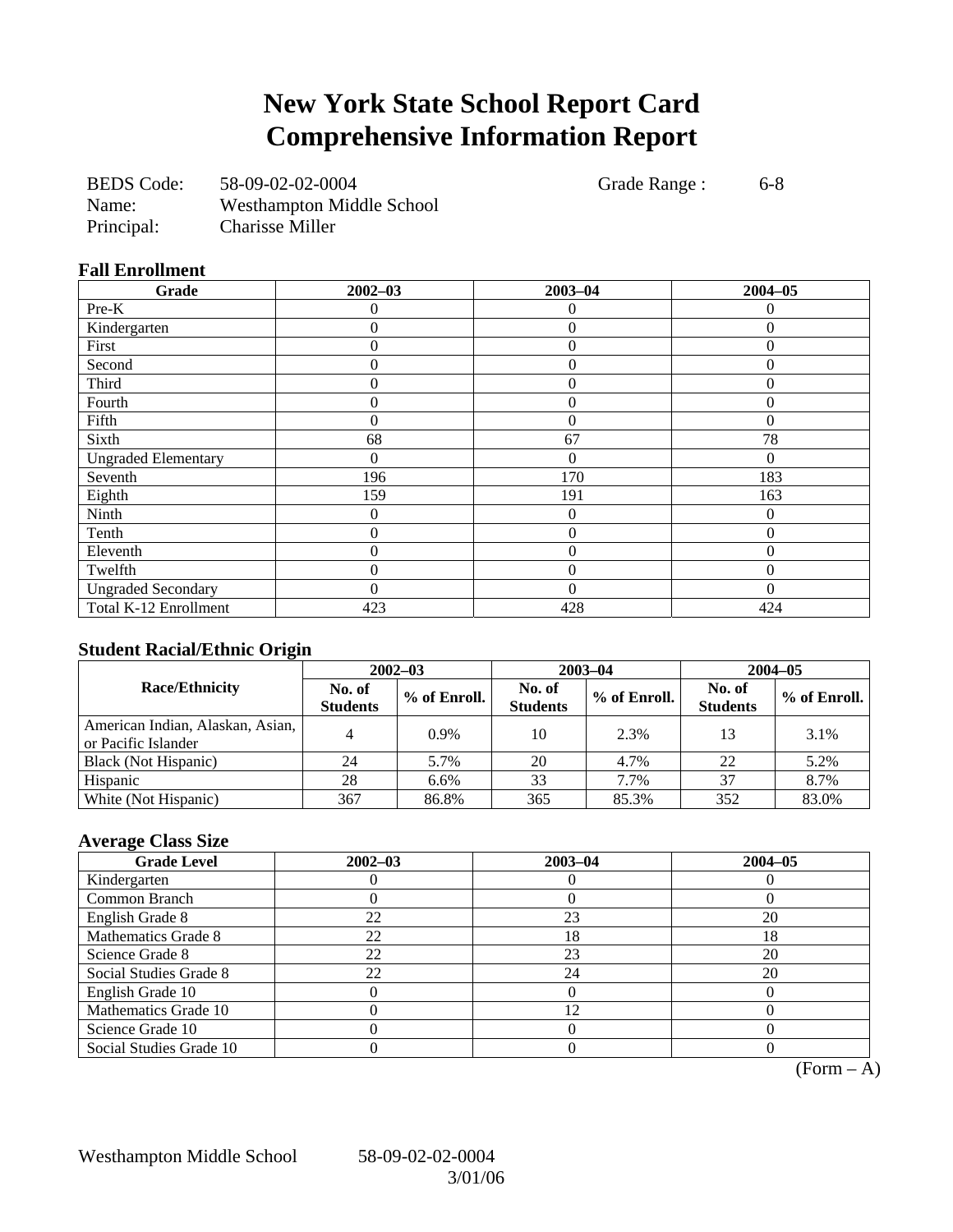## **New York State School Report Card Comprehensive Information Report**

| <b>BEDS</b> Code: | 58-09-02-02-0004                 |
|-------------------|----------------------------------|
| Name:             | <b>Westhampton Middle School</b> |
| Principal:        | <b>Charisse Miller</b>           |

Grade Range : 6-8

**Fall Enrollment** 

| Grade                      | $2002 - 03$ | $2003 - 04$    | $2004 - 05$  |
|----------------------------|-------------|----------------|--------------|
| Pre-K                      | 0           | $\theta$       | 0            |
| Kindergarten               | 0           | $\overline{0}$ | $\mathbf{0}$ |
| First                      | 0           | $\overline{0}$ | $\theta$     |
| Second                     | 0           | $\theta$       | $\Omega$     |
| Third                      | 0           | $\Omega$       | $\Omega$     |
| Fourth                     | 0           | $\overline{0}$ | $\Omega$     |
| Fifth                      | $\theta$    | $\theta$       | $\Omega$     |
| Sixth                      | 68          | 67             | 78           |
| <b>Ungraded Elementary</b> | 0           | $\overline{0}$ | 0            |
| Seventh                    | 196         | 170            | 183          |
| Eighth                     | 159         | 191            | 163          |
| Ninth                      | 0           | $\overline{0}$ | $\Omega$     |
| Tenth                      | $\theta$    | $\overline{0}$ | $\Omega$     |
| Eleventh                   | 0           | $\theta$       | 0            |
| Twelfth                    | 0           | $\theta$       | $\Omega$     |
| <b>Ungraded Secondary</b>  | 0           | $\Omega$       | 0            |
| Total K-12 Enrollment      | 423         | 428            | 424          |

### **Student Racial/Ethnic Origin**

|                                                         | $2002 - 03$               |              |                           | $2003 - 04$  | $2004 - 05$               |              |  |
|---------------------------------------------------------|---------------------------|--------------|---------------------------|--------------|---------------------------|--------------|--|
| <b>Race/Ethnicity</b>                                   | No. of<br><b>Students</b> | % of Enroll. | No. of<br><b>Students</b> | % of Enroll. | No. of<br><b>Students</b> | % of Enroll. |  |
| American Indian, Alaskan, Asian,<br>or Pacific Islander |                           | 0.9%         | 10                        | 2.3%         | 13                        | 3.1%         |  |
| Black (Not Hispanic)                                    | 24                        | 5.7%         | 20                        | 4.7%         | 22                        | 5.2%         |  |
| Hispanic                                                | 28                        | 6.6%         | 33                        | 7.7%         | 37                        | 8.7%         |  |
| White (Not Hispanic)                                    | 367                       | 86.8%        | 365                       | 85.3%        | 352                       | 83.0%        |  |

### **Average Class Size**

| <b>Grade Level</b>      | $2002 - 03$ | $2003 - 04$ | $2004 - 05$ |
|-------------------------|-------------|-------------|-------------|
| Kindergarten            |             |             |             |
| Common Branch           |             |             |             |
| English Grade 8         | 22          | 23          | 20          |
| Mathematics Grade 8     | 22          | 18          | 18          |
| Science Grade 8         | 22          | 23          | 20          |
| Social Studies Grade 8  | 22          | 24          | 20          |
| English Grade 10        |             |             |             |
| Mathematics Grade 10    |             | 12          |             |
| Science Grade 10        |             |             |             |
| Social Studies Grade 10 |             |             |             |

 $\overline{(Form - A)}$ 

Westhampton Middle School 58-09-02-02-0004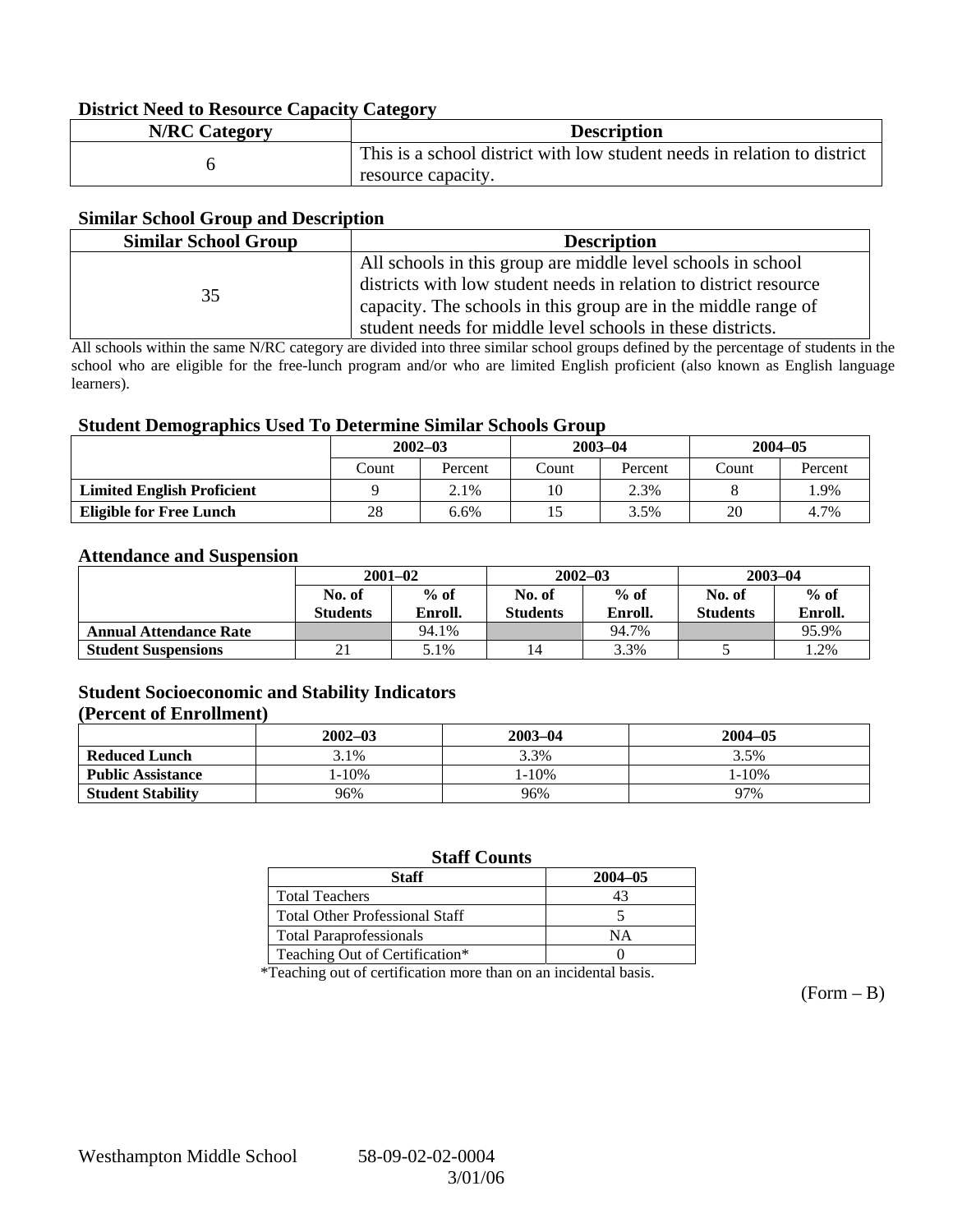#### **District Need to Resource Capacity Category**

| <b>N/RC Category</b> | <b>Description</b>                                                       |
|----------------------|--------------------------------------------------------------------------|
|                      | This is a school district with low student needs in relation to district |
|                      | resource capacity.                                                       |

#### **Similar School Group and Description**

| <b>Similar School Group</b> | <b>Description</b>                                                |
|-----------------------------|-------------------------------------------------------------------|
|                             | All schools in this group are middle level schools in school      |
| 35                          | districts with low student needs in relation to district resource |
|                             | capacity. The schools in this group are in the middle range of    |
|                             | student needs for middle level schools in these districts.        |

All schools within the same N/RC category are divided into three similar school groups defined by the percentage of students in the school who are eligible for the free-lunch program and/or who are limited English proficient (also known as English language learners).

#### **Student Demographics Used To Determine Similar Schools Group**

| ີ                                 | $2002 - 03$ |         | $2003 - 04$ |         | $2004 - 05$ |         |
|-----------------------------------|-------------|---------|-------------|---------|-------------|---------|
|                                   | Count       | Percent | Count       | Percent | Count       | Percent |
| <b>Limited English Proficient</b> |             | 2.1%    | 10          | 2.3%    |             | .9%     |
| <b>Eligible for Free Lunch</b>    | 28<br>6.6%  |         |             | 3.5%    | 20          | 4.7%    |

#### **Attendance and Suspension**

|                               | $2001 - 02$               |                   |                           | $2002 - 03$       | $2003 - 04$               |                   |
|-------------------------------|---------------------------|-------------------|---------------------------|-------------------|---------------------------|-------------------|
|                               | No. of<br><b>Students</b> | $%$ of<br>Enroll. | No. of<br><b>Students</b> | $%$ of<br>Enroll. | No. of<br><b>Students</b> | $%$ of<br>Enroll. |
| <b>Annual Attendance Rate</b> |                           | 94.1%             |                           | 94.7%             |                           | 95.9%             |
| <b>Student Suspensions</b>    | $\sim$                    | 5.1%              |                           | 3.3%              |                           | 1.2%              |

### **Student Socioeconomic and Stability Indicators**

#### **(Percent of Enrollment)**

|                          | $2002 - 03$ | $2003 - 04$ | $2004 - 05$ |  |  |
|--------------------------|-------------|-------------|-------------|--|--|
| <b>Reduced Lunch</b>     | $3.1\%$     | 3.3%        | 3.5%        |  |  |
| <b>Public Assistance</b> | $1 - 10\%$  | $1 - 10\%$  | $1 - 10%$   |  |  |
| <b>Student Stability</b> | 96%         | 96%         | 97%         |  |  |

### **Staff Counts**

| Staff                                 | $2004 - 05$ |
|---------------------------------------|-------------|
| <b>Total Teachers</b>                 |             |
| <b>Total Other Professional Staff</b> |             |
| <b>Total Paraprofessionals</b>        | NΑ          |
| Teaching Out of Certification*        |             |

\*Teaching out of certification more than on an incidental basis.

 $(Form - B)$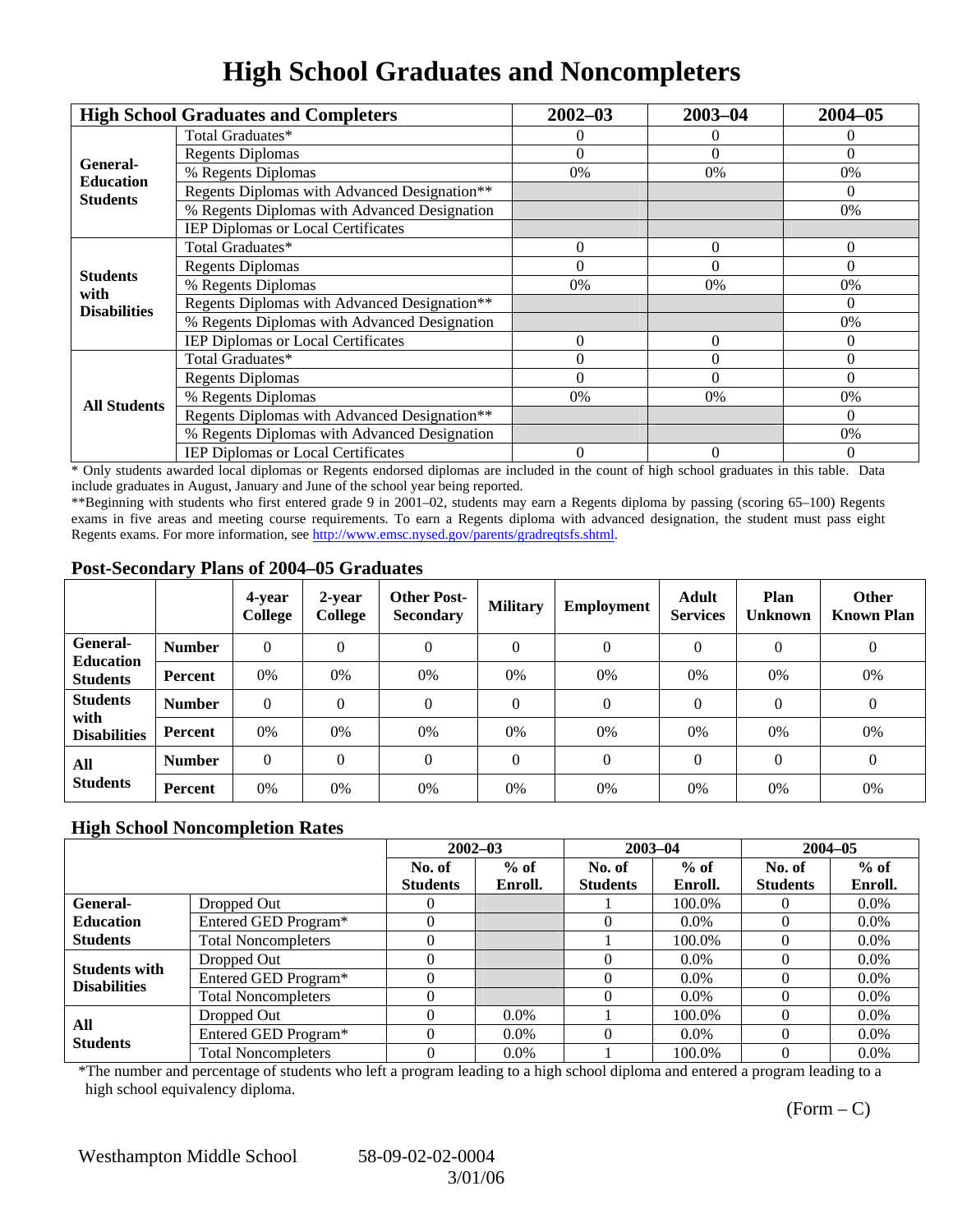### **High School Graduates and Noncompleters**

|                         | <b>High School Graduates and Completers</b>  | $2002 - 03$    | $2003 - 04$    | $2004 - 05$    |
|-------------------------|----------------------------------------------|----------------|----------------|----------------|
|                         | Total Graduates*                             |                | $\Omega$       | 0              |
| General-                | <b>Regents Diplomas</b>                      | $\Omega$       | $\Omega$       | $\Omega$       |
| <b>Education</b>        | % Regents Diplomas                           | 0%             | 0%             | 0%             |
| <b>Students</b>         | Regents Diplomas with Advanced Designation** |                |                | $\Omega$       |
|                         | % Regents Diplomas with Advanced Designation |                |                | 0%             |
|                         | IEP Diplomas or Local Certificates           |                |                |                |
|                         | Total Graduates*                             | $\Omega$       | $\Omega$       | $\Omega$       |
|                         | <b>Regents Diplomas</b>                      | $\Omega$       | $\Omega$       | $\Omega$       |
| <b>Students</b><br>with | % Regents Diplomas                           | 0%             | 0%             | 0%             |
| <b>Disabilities</b>     | Regents Diplomas with Advanced Designation** |                |                | $\theta$       |
|                         | % Regents Diplomas with Advanced Designation |                |                | 0%             |
|                         | IEP Diplomas or Local Certificates           | $\Omega$       | $\Omega$       | 0              |
|                         | Total Graduates*                             | $\Omega$       | $\theta$       | $\Omega$       |
|                         | <b>Regents Diplomas</b>                      | $\Omega$       | $\theta$       | $\Omega$       |
| <b>All Students</b>     | % Regents Diplomas                           | 0%             | 0%             | 0%             |
|                         | Regents Diplomas with Advanced Designation** |                |                | $\Omega$       |
|                         | % Regents Diplomas with Advanced Designation |                |                | 0%             |
|                         | IEP Diplomas or Local Certificates           | $\overline{0}$ | $\overline{0}$ | $\overline{0}$ |

\* Only students awarded local diplomas or Regents endorsed diplomas are included in the count of high school graduates in this table. Data include graduates in August, January and June of the school year being reported.

\*\*Beginning with students who first entered grade 9 in 2001–02, students may earn a Regents diploma by passing (scoring 65–100) Regents exams in five areas and meeting course requirements. To earn a Regents diploma with advanced designation, the student must pass eight Regents exams. For more information, see http://www.emsc.nysed.gov/parents/gradreqtsfs.shtml.

#### **Post-Secondary Plans of 2004–05 Graduates**

|                                     |                | 4-year<br><b>College</b> | 2-year<br>College | <b>Other Post-</b><br><b>Secondary</b> | <b>Military</b> | <b>Employment</b> | <b>Adult</b><br><b>Services</b> | Plan<br><b>Unknown</b> | <b>Other</b><br><b>Known Plan</b> |
|-------------------------------------|----------------|--------------------------|-------------------|----------------------------------------|-----------------|-------------------|---------------------------------|------------------------|-----------------------------------|
| General-                            | <b>Number</b>  | $\theta$                 | $\theta$          | $\Omega$                               | $\theta$        | $\theta$          | $\Omega$                        | $\Omega$               | $\theta$                          |
| <b>Education</b><br><b>Students</b> | <b>Percent</b> | 0%                       | 0%                | 0%                                     | 0%              | 0%                | 0%                              | 0%                     | 0%                                |
| <b>Students</b><br>with             | <b>Number</b>  | $\Omega$                 | $\theta$          | $\Omega$                               | $\theta$        | $\theta$          | $\Omega$                        | $\Omega$               | $\theta$                          |
| <b>Disabilities</b>                 | <b>Percent</b> | 0%                       | 0%                | 0%                                     | 0%              | 0%                | 0%                              | 0%                     | 0%                                |
| All                                 | <b>Number</b>  | $\Omega$                 | $\Omega$          | $\Omega$                               | $\Omega$        | $\theta$          | $\Omega$                        | $\Omega$               | $\theta$                          |
| <b>Students</b>                     | <b>Percent</b> | 0%                       | 0%                | 0%                                     | 0%              | 0%                | 0%                              | 0%                     | 0%                                |

#### **High School Noncompletion Rates**

|                      |                            |                 | $2002 - 03$ | $2003 - 04$     |         | $2004 - 05$     |         |
|----------------------|----------------------------|-----------------|-------------|-----------------|---------|-----------------|---------|
|                      |                            | No. of          | $%$ of      | No. of          | $%$ of  | No. of          | $%$ of  |
|                      |                            | <b>Students</b> | Enroll.     | <b>Students</b> | Enroll. | <b>Students</b> | Enroll. |
| General-             | Dropped Out                |                 |             |                 | 100.0%  |                 | $0.0\%$ |
| <b>Education</b>     | Entered GED Program*       |                 |             |                 | $0.0\%$ |                 | $0.0\%$ |
| <b>Students</b>      | <b>Total Noncompleters</b> |                 |             |                 | 100.0%  |                 | $0.0\%$ |
| <b>Students with</b> | Dropped Out                |                 |             |                 | $0.0\%$ |                 | $0.0\%$ |
| <b>Disabilities</b>  | Entered GED Program*       |                 |             |                 | $0.0\%$ |                 | $0.0\%$ |
|                      | <b>Total Noncompleters</b> |                 |             |                 | $0.0\%$ |                 | $0.0\%$ |
| All                  | Dropped Out                |                 | $0.0\%$     |                 | 100.0%  |                 | $0.0\%$ |
| <b>Students</b>      | Entered GED Program*       |                 | $0.0\%$     |                 | $0.0\%$ |                 | $0.0\%$ |
|                      | <b>Total Noncompleters</b> |                 | $0.0\%$     |                 | 100.0%  |                 | $0.0\%$ |

\*The number and percentage of students who left a program leading to a high school diploma and entered a program leading to a high school equivalency diploma.

 $(Form - C)$ 

Westhampton Middle School 58-09-02-02-0004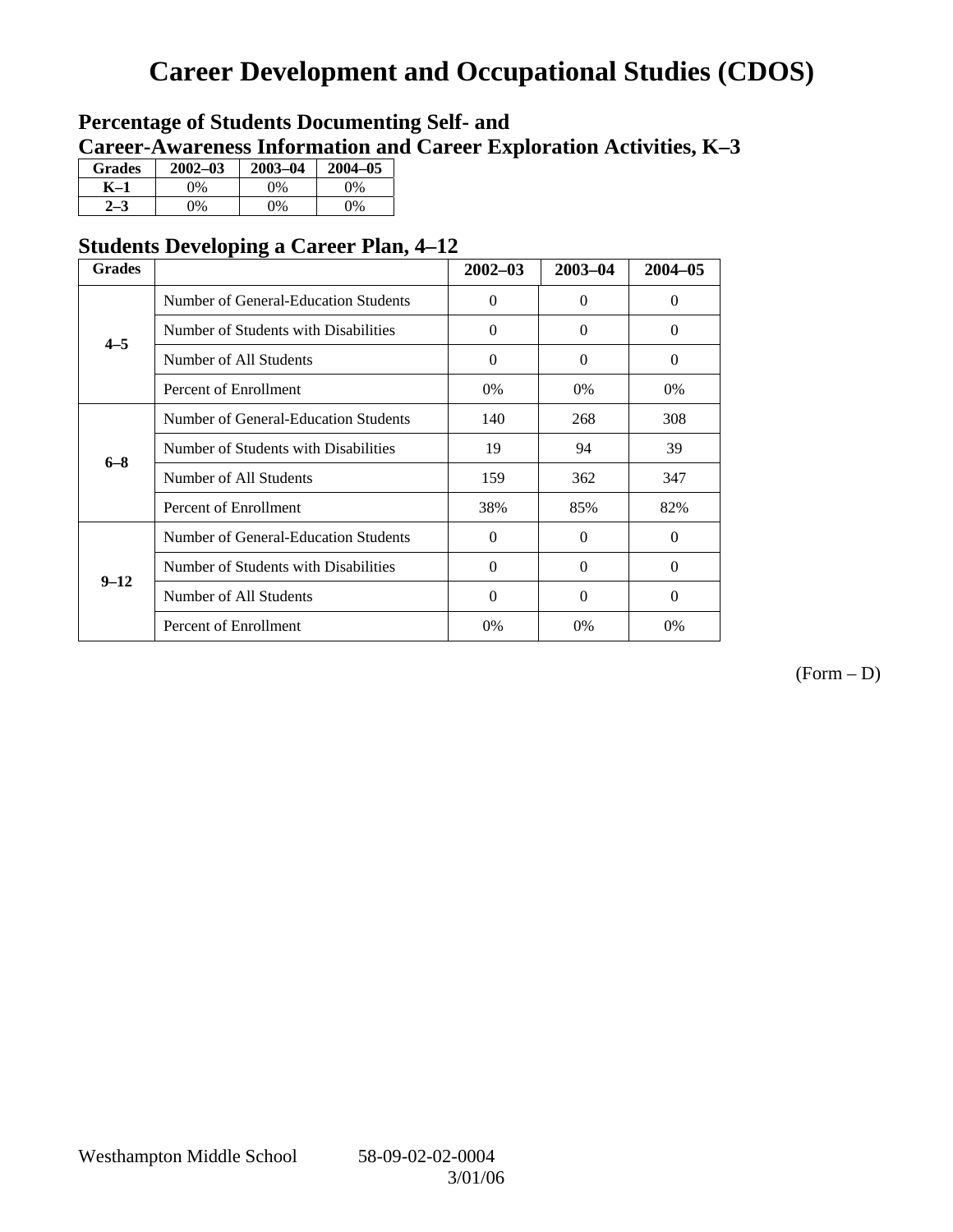## **Career Development and Occupational Studies (CDOS)**

### **Percentage of Students Documenting Self- and Career-Awareness Information and Career Exploration Activities, K–3**

| <b>Grades</b> | $2002 - 03$ | $2003 - 04$ | $2004 - 05$ |
|---------------|-------------|-------------|-------------|
| K–1           | 9%          | $0\%$       | 0%          |
| $2 - 3$       | 9%          | 0%          | 0%          |

### **Students Developing a Career Plan, 4–12**

| <b>Grades</b> |                                      | $2002 - 03$ | 2003-04  | $2004 - 05$ |
|---------------|--------------------------------------|-------------|----------|-------------|
|               | Number of General-Education Students | $\Omega$    | $\Omega$ | $\Omega$    |
| $4 - 5$       | Number of Students with Disabilities | $\Omega$    | 0        | $\Omega$    |
|               | Number of All Students               | $\Omega$    | $\Omega$ | $\Omega$    |
|               | Percent of Enrollment                | 0%          | $0\%$    | 0%          |
|               | Number of General-Education Students | 140         | 268      | 308         |
| $6 - 8$       | Number of Students with Disabilities | 19          | 94       | 39          |
|               | Number of All Students               | 159         | 362      | 347         |
|               | Percent of Enrollment                | 38%         | 85%      | 82%         |
|               | Number of General-Education Students | $\Omega$    | 0        | $\Omega$    |
| $9 - 12$      | Number of Students with Disabilities | $\Omega$    | $\Omega$ | $\Omega$    |
|               | Number of All Students               | $\Omega$    | $\Omega$ | $\theta$    |
|               | Percent of Enrollment                | 0%          | $0\%$    | $0\%$       |

(Form – D)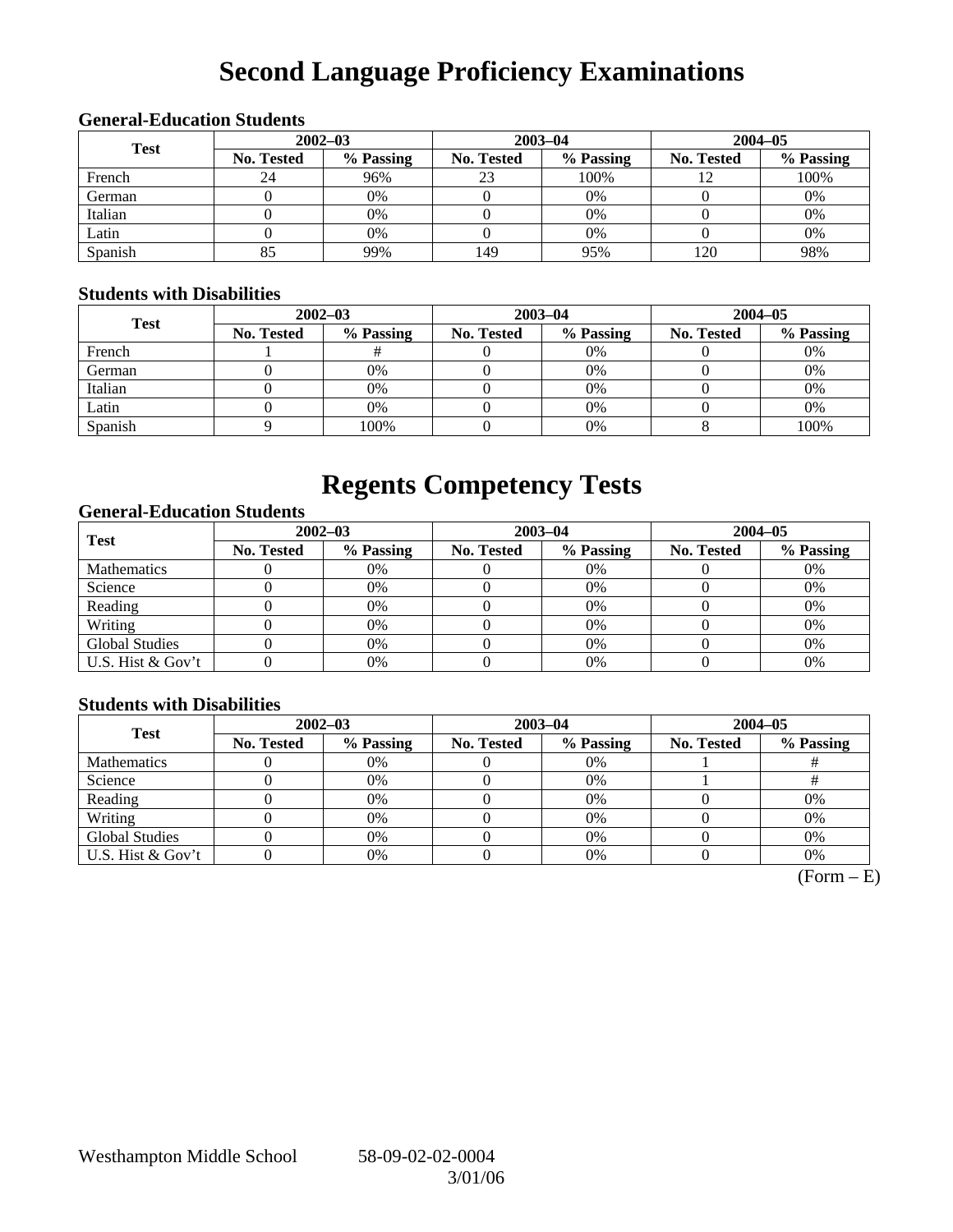# **Second Language Proficiency Examinations**

### **General-Education Students**

| <b>Test</b> | $2002 - 03$       |           |                   | $2003 - 04$ | $2004 - 05$ |           |  |
|-------------|-------------------|-----------|-------------------|-------------|-------------|-----------|--|
|             | <b>No. Tested</b> | % Passing | <b>No. Tested</b> | % Passing   | No. Tested  | % Passing |  |
| French      | 24                | 96%       | 23                | 100%        |             | 100%      |  |
| German      |                   | 0%        |                   | 0%          |             | 0%        |  |
| Italian     |                   | 0%        |                   | 0%          |             | 0%        |  |
| Latin       |                   | 0%        |                   | 0%          |             | 0%        |  |
| Spanish     | 85                | 99%       | 149               | 95%         | 20          | 98%       |  |

#### **Students with Disabilities**

| <b>Test</b> | $2002 - 03$ |           |            | $2003 - 04$ | $2004 - 05$       |           |  |
|-------------|-------------|-----------|------------|-------------|-------------------|-----------|--|
|             | No. Tested  | % Passing | No. Tested | % Passing   | <b>No. Tested</b> | % Passing |  |
| French      |             |           |            | 0%          |                   | 0%        |  |
| German      |             | 0%        |            | 0%          |                   | 0%        |  |
| Italian     |             | 0%        |            | 0%          |                   | 0%        |  |
| Latin       |             | 0%        |            | 0%          |                   | 0%        |  |
| Spanish     |             | 100%      |            | 0%          |                   | 100%      |  |

### **Regents Competency Tests**

### **General-Education Students**

| <b>Test</b>           | $2002 - 03$       |           |                   | $2003 - 04$ | $2004 - 05$ |           |  |
|-----------------------|-------------------|-----------|-------------------|-------------|-------------|-----------|--|
|                       | <b>No. Tested</b> | % Passing | <b>No. Tested</b> | % Passing   | No. Tested  | % Passing |  |
| <b>Mathematics</b>    |                   | 0%        |                   | 0%          |             | 0%        |  |
| Science               |                   | 0%        |                   | 0%          |             | 0%        |  |
| Reading               |                   | 0%        |                   | $0\%$       |             | 0%        |  |
| Writing               |                   | 0%        |                   | 0%          |             | 0%        |  |
| <b>Global Studies</b> |                   | 0%        |                   | 0%          |             | 0%        |  |
| U.S. Hist & Gov't     |                   | 0%        |                   | $0\%$       |             | 0%        |  |

### **Students with Disabilities**

| <b>Test</b>           | $2002 - 03$       |           |            | $2003 - 04$ | $2004 - 05$ |           |  |
|-----------------------|-------------------|-----------|------------|-------------|-------------|-----------|--|
|                       | <b>No. Tested</b> | % Passing | No. Tested | % Passing   | No. Tested  | % Passing |  |
| <b>Mathematics</b>    |                   | 0%        |            | 0%          |             |           |  |
| Science               |                   | 0%        |            | 0%          |             |           |  |
| Reading               |                   | 0%        |            | 0%          |             | 0%        |  |
| Writing               |                   | 0%        |            | 0%          |             | 0%        |  |
| <b>Global Studies</b> |                   | 0%        |            | 0%          |             | 0%        |  |
| U.S. Hist & Gov't     |                   | 0%        |            | 0%          |             | 0%        |  |

 $(Form - E)$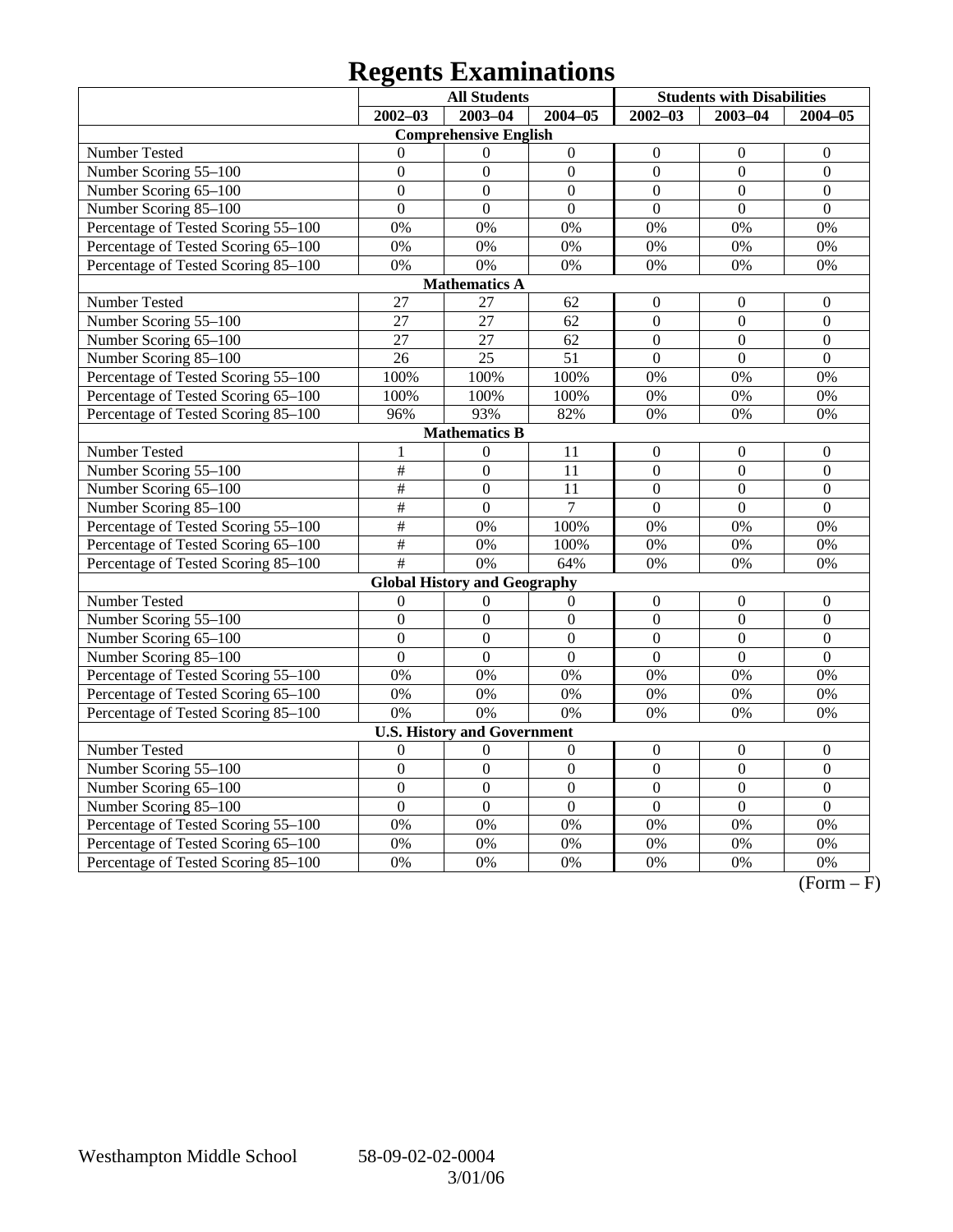# **Regents Examinations**

|                                     | <b>All Students</b> |                                     |                  |                  | <b>Students with Disabilities</b> |                  |  |  |
|-------------------------------------|---------------------|-------------------------------------|------------------|------------------|-----------------------------------|------------------|--|--|
|                                     | $2002 - 03$         | $2003 - 04$                         | $2004 - 05$      | $2002 - 03$      | $2003 - 04$                       | $2004 - 05$      |  |  |
|                                     |                     | <b>Comprehensive English</b>        |                  |                  |                                   |                  |  |  |
| Number Tested                       | $\Omega$            | $\theta$                            | $\boldsymbol{0}$ | $\boldsymbol{0}$ | $\boldsymbol{0}$                  | $\mathbf{0}$     |  |  |
| Number Scoring 55-100               | $\theta$            | $\theta$                            | $\overline{0}$   | $\mathbf{0}$     | $\overline{0}$                    | $\overline{0}$   |  |  |
| Number Scoring 65-100               | $\overline{0}$      | $\overline{0}$                      | $\overline{0}$   | $\overline{0}$   | $\overline{0}$                    | $\overline{0}$   |  |  |
| Number Scoring 85-100               | $\overline{0}$      | $\overline{0}$                      | $\overline{0}$   | $\overline{0}$   | $\overline{0}$                    | $\overline{0}$   |  |  |
| Percentage of Tested Scoring 55-100 | 0%                  | 0%                                  | 0%               | 0%               | 0%                                | 0%               |  |  |
| Percentage of Tested Scoring 65-100 | 0%                  | 0%                                  | 0%               | 0%               | 0%                                | 0%               |  |  |
| Percentage of Tested Scoring 85-100 | 0%                  | 0%                                  | 0%               | 0%               | 0%                                | 0%               |  |  |
|                                     |                     | <b>Mathematics A</b>                |                  |                  |                                   |                  |  |  |
| Number Tested                       | $\overline{27}$     | 27                                  | 62               | $\boldsymbol{0}$ | $\mathbf{0}$                      | $\boldsymbol{0}$ |  |  |
| Number Scoring 55-100               | 27                  | $\overline{27}$                     | 62               | $\mathbf{0}$     | $\mathbf{0}$                      | $\overline{0}$   |  |  |
| Number Scoring 65-100               | 27                  | 27                                  | 62               | $\overline{0}$   | $\overline{0}$                    | $\overline{0}$   |  |  |
| Number Scoring 85-100               | $\overline{26}$     | $\overline{25}$                     | $\overline{51}$  | $\overline{0}$   | $\overline{0}$                    | $\overline{0}$   |  |  |
| Percentage of Tested Scoring 55-100 | 100%                | 100%                                | 100%             | 0%               | 0%                                | 0%               |  |  |
| Percentage of Tested Scoring 65-100 | 100%                | 100%                                | 100%             | 0%               | 0%                                | 0%               |  |  |
| Percentage of Tested Scoring 85-100 | 96%                 | 93%                                 | 82%              | 0%               | 0%                                | 0%               |  |  |
| <b>Mathematics B</b>                |                     |                                     |                  |                  |                                   |                  |  |  |
| Number Tested                       | $\mathbf{1}$        | $\mathbf{0}$                        | 11               | $\mathbf{0}$     | $\overline{0}$                    | $\boldsymbol{0}$ |  |  |
| Number Scoring 55-100               | $\#$                | $\overline{0}$                      | 11               | $\mathbf{0}$     | $\overline{0}$                    | $\boldsymbol{0}$ |  |  |
| Number Scoring 65-100               | $\overline{\#}$     | $\boldsymbol{0}$                    | 11               | $\boldsymbol{0}$ | $\boldsymbol{0}$                  | $\boldsymbol{0}$ |  |  |
| Number Scoring 85-100               | $\#$                | $\overline{0}$                      | $\overline{7}$   | $\overline{0}$   | $\overline{0}$                    | $\overline{0}$   |  |  |
| Percentage of Tested Scoring 55-100 | $\#$                | 0%                                  | 100%             | 0%               | 0%                                | 0%               |  |  |
| Percentage of Tested Scoring 65-100 | $\#$                | $\overline{0\%}$                    | 100%             | 0%               | 0%                                | 0%               |  |  |
| Percentage of Tested Scoring 85-100 | #                   | 0%                                  | 64%              | 0%               | 0%                                | 0%               |  |  |
|                                     |                     | <b>Global History and Geography</b> |                  |                  |                                   |                  |  |  |
| Number Tested                       | $\overline{0}$      | $\Omega$                            | $\mathbf{0}$     | $\boldsymbol{0}$ | $\boldsymbol{0}$                  | $\boldsymbol{0}$ |  |  |
| Number Scoring 55-100               | $\boldsymbol{0}$    | $\boldsymbol{0}$                    | $\boldsymbol{0}$ | $\boldsymbol{0}$ | $\boldsymbol{0}$                  | $\boldsymbol{0}$ |  |  |
| Number Scoring 65-100               | $\overline{0}$      | $\overline{0}$                      | $\overline{0}$   | $\mathbf{0}$     | $\overline{0}$                    | $\mathbf{0}$     |  |  |
| Number Scoring 85-100               | $\overline{0}$      | $\overline{0}$                      | $\overline{0}$   | $\overline{0}$   | $\overline{0}$                    | $\overline{0}$   |  |  |
| Percentage of Tested Scoring 55-100 | 0%                  | $\overline{0\%}$                    | $\overline{0\%}$ | $\overline{0\%}$ | 0%                                | $\overline{0\%}$ |  |  |
| Percentage of Tested Scoring 65-100 | 0%                  | 0%                                  | 0%               | 0%               | 0%                                | 0%               |  |  |
| Percentage of Tested Scoring 85-100 | 0%                  | 0%                                  | 0%               | 0%               | 0%                                | 0%               |  |  |
|                                     |                     | <b>U.S. History and Government</b>  |                  |                  |                                   |                  |  |  |
| Number Tested                       | $\theta$            | $\theta$                            | $\overline{0}$   | $\boldsymbol{0}$ | $\boldsymbol{0}$                  | $\boldsymbol{0}$ |  |  |
| Number Scoring 55-100               | $\overline{0}$      | $\overline{0}$                      | $\overline{0}$   | $\overline{0}$   | $\mathbf{0}$                      | $\mathbf{0}$     |  |  |
| Number Scoring 65-100               | $\overline{0}$      | $\overline{0}$                      | $\overline{0}$   | $\boldsymbol{0}$ | $\boldsymbol{0}$                  | $\boldsymbol{0}$ |  |  |
| Number Scoring 85-100               | $\overline{0}$      | $\overline{0}$                      | $\overline{0}$   | $\overline{0}$   | $\overline{0}$                    | $\overline{0}$   |  |  |
| Percentage of Tested Scoring 55-100 | 0%                  | 0%                                  | 0%               | 0%               | $\overline{0\%}$                  | 0%               |  |  |
| Percentage of Tested Scoring 65-100 | 0%                  | 0%                                  | 0%               | 0%               | 0%                                | 0%               |  |  |
| Percentage of Tested Scoring 85-100 | 0%                  | 0%                                  | 0%               | 0%               | 0%                                | 0%               |  |  |

 $\overline{(Form - F)}$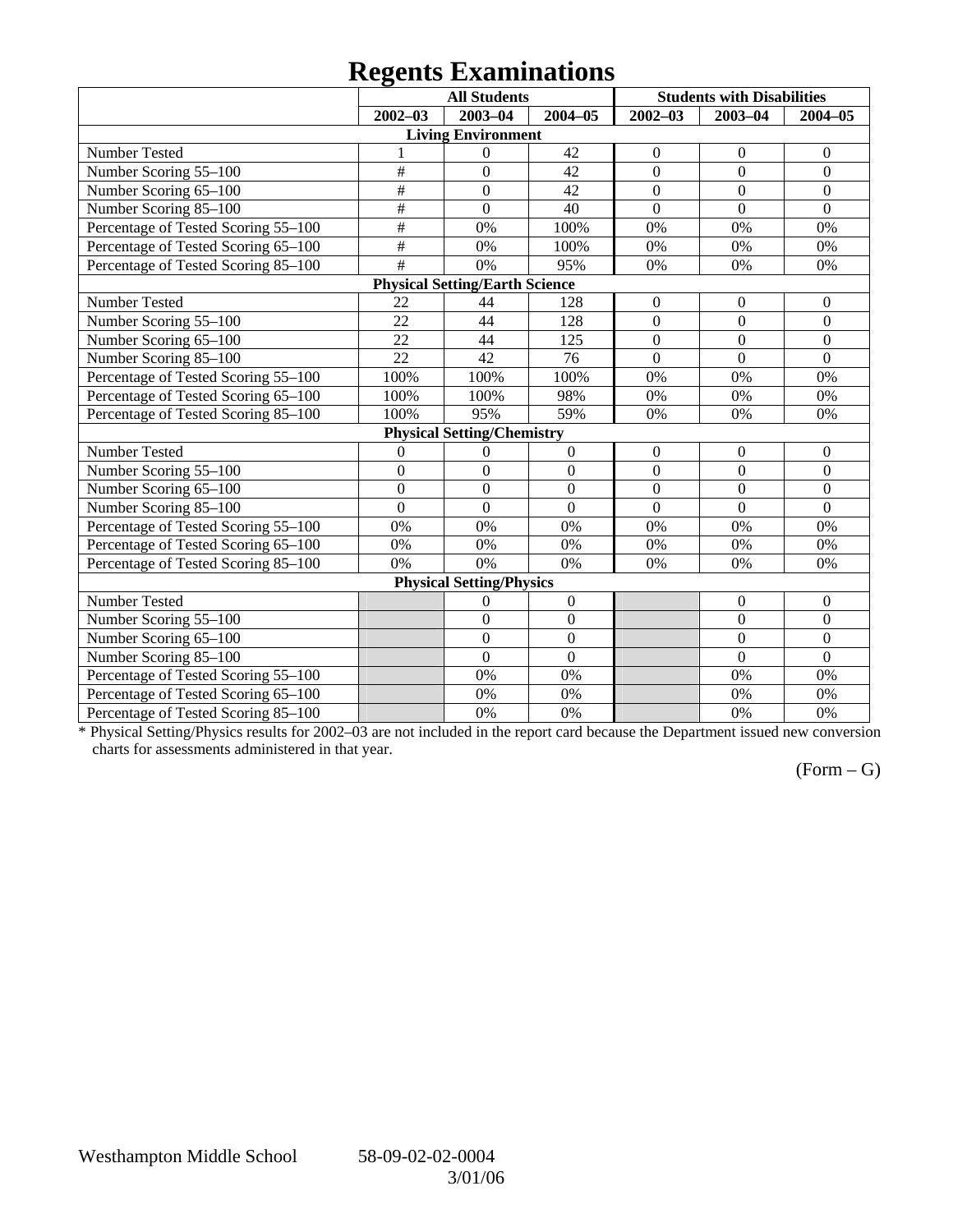### **Regents Examinations**

|                                     |                           | <b>All Students</b>                   |                  |                  | <b>Students with Disabilities</b> |                  |
|-------------------------------------|---------------------------|---------------------------------------|------------------|------------------|-----------------------------------|------------------|
|                                     | $2002 - 03$               | 2003-04                               | $2004 - 05$      | $2002 - 03$      | $2003 - 04$                       | $2004 - 05$      |
|                                     |                           | <b>Living Environment</b>             |                  |                  |                                   |                  |
| Number Tested                       | 1                         | $\theta$                              | 42               | $\boldsymbol{0}$ | $\mathbf{0}$                      | $\overline{0}$   |
| Number Scoring 55-100               | $\overline{\overline{t}}$ | $\overline{0}$                        | 42               | $\overline{0}$   | $\overline{0}$                    | $\overline{0}$   |
| Number Scoring 65-100               | $\overline{\#}$           | $\mathbf{0}$                          | 42               | $\mathbf{0}$     | $\mathbf{0}$                      | $\boldsymbol{0}$ |
| Number Scoring 85-100               | $\#$                      | $\theta$                              | 40               | $\Omega$         | $\overline{0}$                    | $\overline{0}$   |
| Percentage of Tested Scoring 55-100 | $\#$                      | 0%                                    | 100%             | 0%               | 0%                                | 0%               |
| Percentage of Tested Scoring 65-100 | #                         | 0%                                    | 100%             | 0%               | 0%                                | 0%               |
| Percentage of Tested Scoring 85-100 | #                         | 0%                                    | 95%              | 0%               | 0%                                | 0%               |
|                                     |                           | <b>Physical Setting/Earth Science</b> |                  |                  |                                   |                  |
| Number Tested                       | 22                        | 44                                    | 128              | $\theta$         | $\overline{0}$                    | $\overline{0}$   |
| Number Scoring 55-100               | 22                        | 44                                    | 128              | $\mathbf{0}$     | $\overline{0}$                    | $\overline{0}$   |
| Number Scoring 65-100               | 22                        | 44                                    | 125              | $\mathbf{0}$     | $\overline{0}$                    | $\boldsymbol{0}$ |
| Number Scoring 85-100               | 22                        | 42                                    | 76               | $\mathbf{0}$     | $\mathbf{0}$                      | $\mathbf{0}$     |
| Percentage of Tested Scoring 55-100 | 100%                      | 100%                                  | 100%             | 0%               | 0%                                | 0%               |
| Percentage of Tested Scoring 65-100 | 100%                      | 100%                                  | 98%              | 0%               | 0%                                | 0%               |
| Percentage of Tested Scoring 85-100 | 100%                      | 95%                                   | 59%              | 0%               | 0%                                | 0%               |
|                                     |                           | <b>Physical Setting/Chemistry</b>     |                  |                  |                                   |                  |
| Number Tested                       | $\theta$                  | $\theta$                              | $\boldsymbol{0}$ | $\mathbf{0}$     | $\mathbf{0}$                      | $\overline{0}$   |
| Number Scoring 55-100               | $\overline{0}$            | $\overline{0}$                        | $\overline{0}$   | $\overline{0}$   | $\overline{0}$                    | $\overline{0}$   |
| Number Scoring 65-100               | $\overline{0}$            | $\overline{0}$                        | $\overline{0}$   | $\overline{0}$   | $\overline{0}$                    | $\mathbf{0}$     |
| Number Scoring 85-100               | $\overline{0}$            | $\theta$                              | $\overline{0}$   | $\overline{0}$   | $\overline{0}$                    | $\mathbf{0}$     |
| Percentage of Tested Scoring 55-100 | 0%                        | 0%                                    | 0%               | 0%               | 0%                                | 0%               |
| Percentage of Tested Scoring 65-100 | 0%                        | 0%                                    | 0%               | 0%               | 0%                                | 0%               |
| Percentage of Tested Scoring 85-100 | 0%                        | 0%                                    | 0%               | 0%               | 0%                                | 0%               |
|                                     |                           | <b>Physical Setting/Physics</b>       |                  |                  |                                   |                  |
| Number Tested                       |                           | 0                                     | $\boldsymbol{0}$ |                  | $\boldsymbol{0}$                  | $\overline{0}$   |
| Number Scoring 55-100               |                           | $\mathbf{0}$                          | $\mathbf{0}$     |                  | $\mathbf{0}$                      | $\boldsymbol{0}$ |
| Number Scoring 65-100               |                           | $\overline{0}$                        | $\mathbf{0}$     |                  | $\overline{0}$                    | $\overline{0}$   |
| Number Scoring 85-100               |                           | $\overline{0}$                        | $\boldsymbol{0}$ |                  | $\overline{0}$                    | $\mathbf{0}$     |
| Percentage of Tested Scoring 55-100 |                           | 0%                                    | 0%               |                  | 0%                                | 0%               |
| Percentage of Tested Scoring 65-100 |                           | 0%                                    | 0%               |                  | 0%                                | 0%               |
| Percentage of Tested Scoring 85-100 |                           | 0%                                    | 0%               |                  | 0%                                | 0%               |

\* Physical Setting/Physics results for 2002–03 are not included in the report card because the Department issued new conversion charts for assessments administered in that year.

### $(Form - G)$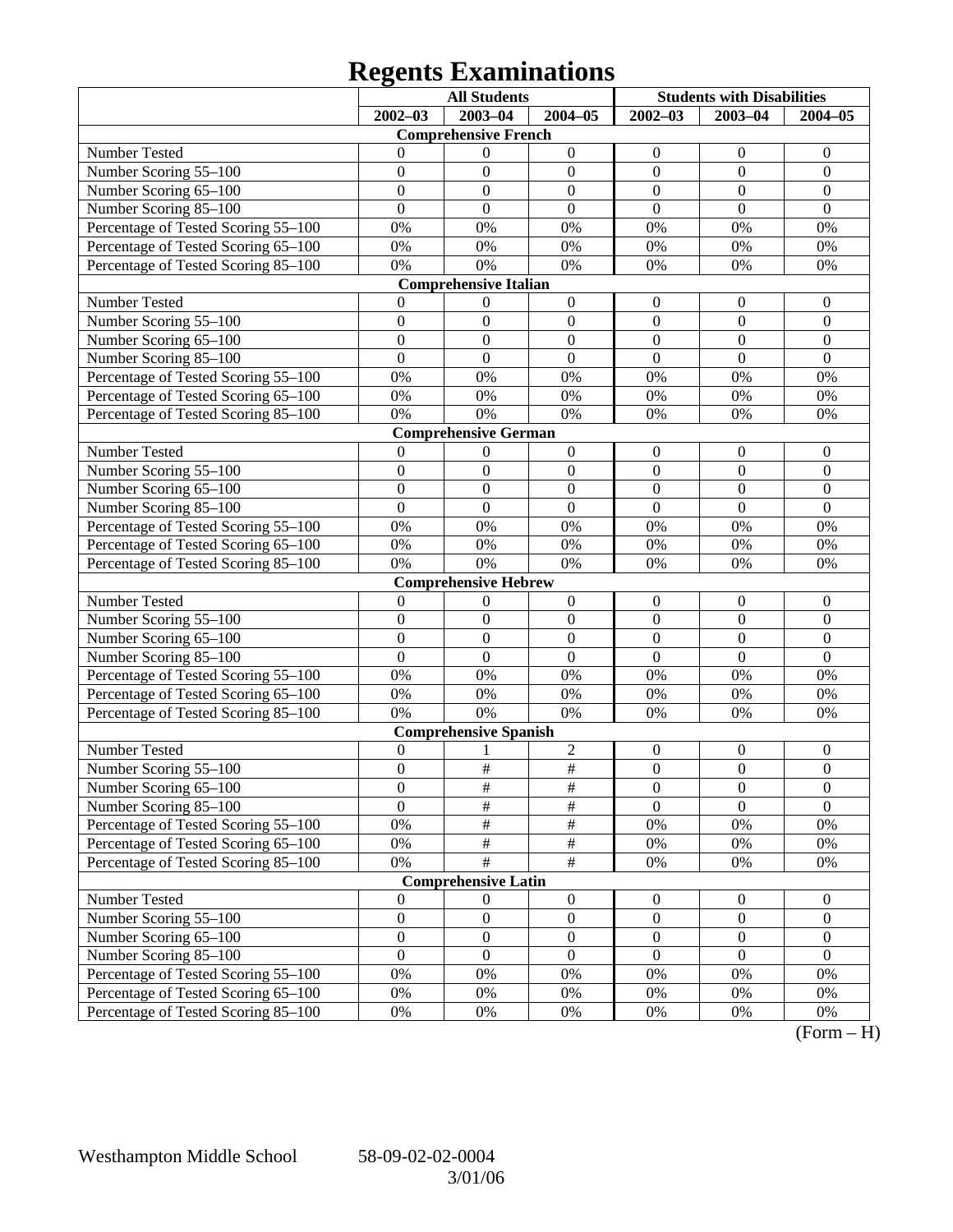# **Regents Examinations**

|                                     |                  | <b>All Students</b>          |                         | <b>Students with Disabilities</b> |                  |                  |
|-------------------------------------|------------------|------------------------------|-------------------------|-----------------------------------|------------------|------------------|
|                                     | $2002 - 03$      | 2003-04                      | $2004 - 05$             | $2002 - 03$                       | $2003 - 04$      | $2004 - 05$      |
|                                     |                  | <b>Comprehensive French</b>  |                         |                                   |                  |                  |
| Number Tested                       | 0                | $\boldsymbol{0}$             | $\boldsymbol{0}$        | $\boldsymbol{0}$                  | $\boldsymbol{0}$ | $\mathbf{0}$     |
| Number Scoring 55-100               | $\boldsymbol{0}$ | $\boldsymbol{0}$             | $\boldsymbol{0}$        | $\boldsymbol{0}$                  | $\mathbf{0}$     | $\boldsymbol{0}$ |
| Number Scoring 65-100               | $\boldsymbol{0}$ | $\boldsymbol{0}$             | $\boldsymbol{0}$        | $\boldsymbol{0}$                  | $\mathbf{0}$     | $\boldsymbol{0}$ |
| Number Scoring 85-100               | $\overline{0}$   | $\boldsymbol{0}$             | $\mathbf{0}$            | $\mathbf{0}$                      | $\mathbf{0}$     | $\mathbf{0}$     |
| Percentage of Tested Scoring 55-100 | 0%               | 0%                           | 0%                      | 0%                                | 0%               | 0%               |
| Percentage of Tested Scoring 65-100 | 0%               | 0%                           | $0\%$                   | 0%                                | 0%               | 0%               |
| Percentage of Tested Scoring 85-100 | 0%               | 0%                           | 0%                      | 0%                                | 0%               | 0%               |
|                                     |                  | <b>Comprehensive Italian</b> |                         |                                   |                  |                  |
| Number Tested                       | $\theta$         | $\boldsymbol{0}$             | $\boldsymbol{0}$        | $\boldsymbol{0}$                  | $\boldsymbol{0}$ | $\mathbf{0}$     |
| Number Scoring 55-100               | $\boldsymbol{0}$ | $\boldsymbol{0}$             | $\boldsymbol{0}$        | $\boldsymbol{0}$                  | $\boldsymbol{0}$ | $\boldsymbol{0}$ |
| Number Scoring 65-100               | $\boldsymbol{0}$ | $\boldsymbol{0}$             | $\boldsymbol{0}$        | $\boldsymbol{0}$                  | $\overline{0}$   | $\boldsymbol{0}$ |
| Number Scoring 85-100               | $\overline{0}$   | $\boldsymbol{0}$             | $\mathbf{0}$            | $\mathbf{0}$                      | $\mathbf{0}$     | $\boldsymbol{0}$ |
| Percentage of Tested Scoring 55-100 | 0%               | 0%                           | 0%                      | 0%                                | 0%               | 0%               |
| Percentage of Tested Scoring 65-100 | 0%               | 0%                           | $0\%$                   | 0%                                | 0%               | 0%               |
| Percentage of Tested Scoring 85-100 | 0%               | 0%                           | 0%                      | 0%                                | 0%               | 0%               |
|                                     |                  | <b>Comprehensive German</b>  |                         |                                   |                  |                  |
| Number Tested                       | $\mathbf{0}$     | $\boldsymbol{0}$             | $\boldsymbol{0}$        | $\boldsymbol{0}$                  | $\boldsymbol{0}$ | $\mathbf{0}$     |
| Number Scoring 55-100               | $\boldsymbol{0}$ | $\boldsymbol{0}$             | $\boldsymbol{0}$        | $\boldsymbol{0}$                  | $\boldsymbol{0}$ | $\boldsymbol{0}$ |
| Number Scoring 65-100               | $\boldsymbol{0}$ | $\boldsymbol{0}$             | $\boldsymbol{0}$        | $\boldsymbol{0}$                  | $\overline{0}$   | $\boldsymbol{0}$ |
| Number Scoring 85-100               | $\overline{0}$   | $\boldsymbol{0}$             | $\mathbf{0}$            | $\mathbf{0}$                      | $\mathbf{0}$     | $\overline{0}$   |
| Percentage of Tested Scoring 55-100 | 0%               | 0%                           | 0%                      | 0%                                | 0%               | 0%               |
| Percentage of Tested Scoring 65-100 | 0%               | 0%                           | $0\%$                   | 0%                                | 0%               | 0%               |
| Percentage of Tested Scoring 85-100 | 0%               | 0%                           | 0%                      | 0%                                | 0%               | 0%               |
|                                     |                  | <b>Comprehensive Hebrew</b>  |                         |                                   |                  |                  |
| Number Tested                       | $\boldsymbol{0}$ | $\boldsymbol{0}$             | $\boldsymbol{0}$        | $\boldsymbol{0}$                  | $\boldsymbol{0}$ | $\mathbf{0}$     |
| Number Scoring 55-100               | $\boldsymbol{0}$ | $\boldsymbol{0}$             | $\boldsymbol{0}$        | $\boldsymbol{0}$                  | $\boldsymbol{0}$ | $\boldsymbol{0}$ |
| Number Scoring 65-100               | $\boldsymbol{0}$ | $\boldsymbol{0}$             | $\boldsymbol{0}$        | $\boldsymbol{0}$                  | $\overline{0}$   | $\boldsymbol{0}$ |
| Number Scoring 85-100               | $\overline{0}$   | $\mathbf{0}$                 | $\mathbf{0}$            | $\mathbf{0}$                      | $\overline{0}$   | $\overline{0}$   |
| Percentage of Tested Scoring 55-100 | 0%               | 0%                           | 0%                      | 0%                                | 0%               | 0%               |
| Percentage of Tested Scoring 65-100 | 0%               | 0%                           | $0\%$                   | 0%                                | 0%               | 0%               |
| Percentage of Tested Scoring 85-100 | 0%               | 0%                           | $0\%$                   | 0%                                | 0%               | 0%               |
|                                     |                  | <b>Comprehensive Spanish</b> |                         |                                   |                  |                  |
| Number Tested                       | $\boldsymbol{0}$ | 1                            | 2                       | $\boldsymbol{0}$                  | $\boldsymbol{0}$ | $\mathbf{0}$     |
| Number Scoring 55-100               | $\boldsymbol{0}$ | $\#$                         | $\overline{\ddot{\pi}}$ | $\boldsymbol{0}$                  | $\mathbf{0}$     | $\boldsymbol{0}$ |
| Number Scoring 65-100               | $\boldsymbol{0}$ | #                            | #                       | $\boldsymbol{0}$                  | $\boldsymbol{0}$ | $\boldsymbol{0}$ |
| Number Scoring 85-100               | $\overline{0}$   | #                            | $\overline{\#}$         | $\mathbf{0}$                      | $\overline{0}$   | $\overline{0}$   |
| Percentage of Tested Scoring 55-100 | 0%               | $\overline{\#}$              | $\frac{1}{2}$           | 0%                                | 0%               | 0%               |
| Percentage of Tested Scoring 65-100 | 0%               | $\frac{1}{2}$                | $\frac{1}{2}$           | 0%                                | 0%               | 0%               |
| Percentage of Tested Scoring 85-100 | $0\%$            | #                            | #                       | 0%                                | 0%               | 0%               |
|                                     |                  | <b>Comprehensive Latin</b>   |                         |                                   |                  |                  |
| Number Tested                       | $\boldsymbol{0}$ | $\boldsymbol{0}$             | $\boldsymbol{0}$        | $\boldsymbol{0}$                  | $\boldsymbol{0}$ | $\mathbf{0}$     |
| Number Scoring 55-100               | $\boldsymbol{0}$ | $\boldsymbol{0}$             | $\boldsymbol{0}$        | $\boldsymbol{0}$                  | $\boldsymbol{0}$ | $\boldsymbol{0}$ |
| Number Scoring 65-100               | $\boldsymbol{0}$ | $\boldsymbol{0}$             | $\boldsymbol{0}$        | $\boldsymbol{0}$                  | $\boldsymbol{0}$ | $\boldsymbol{0}$ |
| Number Scoring 85-100               | $\boldsymbol{0}$ | $\boldsymbol{0}$             | $\boldsymbol{0}$        | $\boldsymbol{0}$                  | $\mathbf{0}$     | $\boldsymbol{0}$ |
| Percentage of Tested Scoring 55-100 | 0%               | 0%                           | $0\%$                   | 0%                                | 0%               | 0%               |
| Percentage of Tested Scoring 65-100 | 0%               | 0%                           | 0%                      | 0%                                | 0%               | 0%               |
| Percentage of Tested Scoring 85-100 | $0\%$            | 0%                           | 0%                      | 0%                                | 0%               | 0%               |

 $(Form - H)$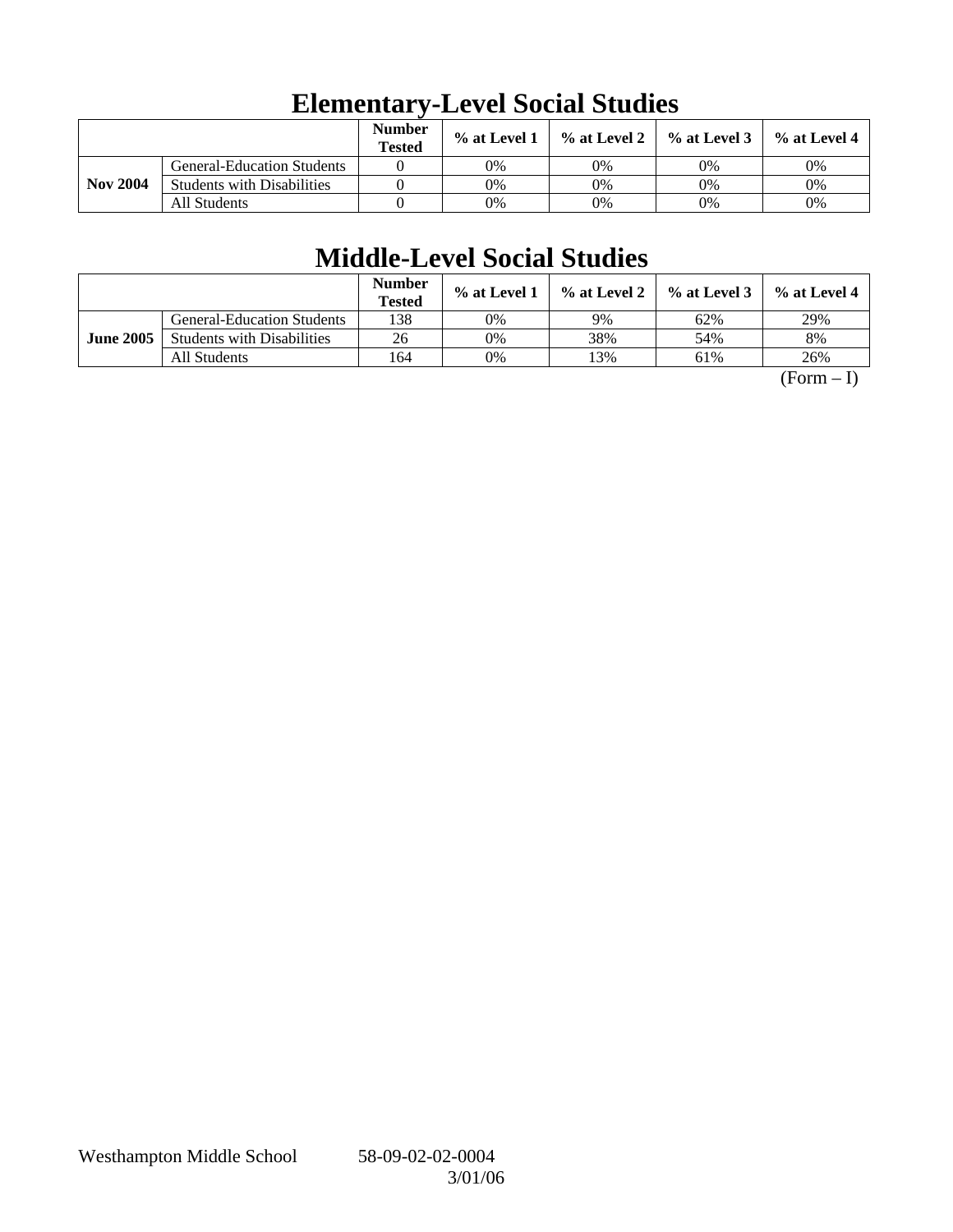|                 |                                   | <b>Number</b><br><b>Tested</b> | $\%$ at Level 1 | % at Level 2 | $\%$ at Level 3 | $\%$ at Level 4 |
|-----------------|-----------------------------------|--------------------------------|-----------------|--------------|-----------------|-----------------|
|                 | <b>General-Education Students</b> |                                | 0%              | 0%           | 0%              | 0%              |
| <b>Nov 2004</b> | <b>Students with Disabilities</b> |                                | 0%              | 0%           | 0%              | 0%              |
|                 | All Students                      |                                | 0%              | 0%           | 0%              | 0%              |

# **Elementary-Level Social Studies**

## **Middle-Level Social Studies**

|                  |                                   | <b>Number</b><br><b>Tested</b> | $\%$ at Level 1 | % at Level 2 | $%$ at Level 3 | $\%$ at Level 4 |
|------------------|-----------------------------------|--------------------------------|-----------------|--------------|----------------|-----------------|
|                  | <b>General-Education Students</b> | 138                            | 0%              | 9%           | 62%            | 29%             |
| <b>June 2005</b> | <b>Students with Disabilities</b> | 26                             | 0%              | 38%          | 54%            | 8%              |
|                  | All Students                      | 164                            | 0%              | !3%          | 61%            | 26%             |

 $(Form - I)$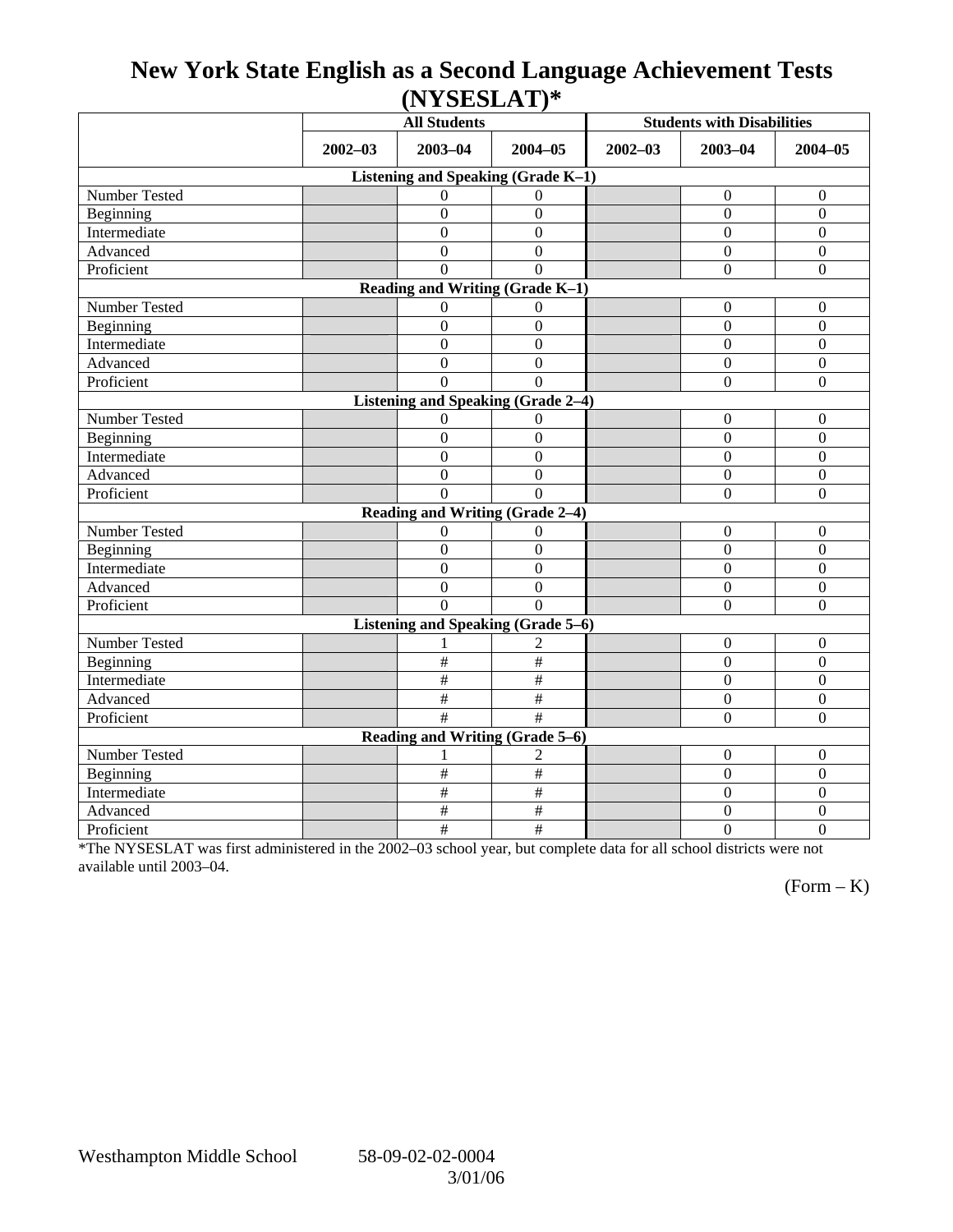### **New York State English as a Second Language Achievement Tests (NYSESLAT)\***

|                                           | <b>All Students</b> |                  |                  | <b>Students with Disabilities</b> |                  |                  |  |  |  |  |
|-------------------------------------------|---------------------|------------------|------------------|-----------------------------------|------------------|------------------|--|--|--|--|
|                                           | $2002 - 03$         | $2003 - 04$      | $2004 - 05$      | $2002 - 03$                       | $2003 - 04$      | $2004 - 05$      |  |  |  |  |
| Listening and Speaking (Grade K-1)        |                     |                  |                  |                                   |                  |                  |  |  |  |  |
| Number Tested                             |                     | $\theta$         | $\Omega$         |                                   | $\boldsymbol{0}$ | $\mathbf{0}$     |  |  |  |  |
| Beginning                                 |                     | $\overline{0}$   | $\boldsymbol{0}$ |                                   | $\boldsymbol{0}$ | $\mathbf{0}$     |  |  |  |  |
| Intermediate                              |                     | $\boldsymbol{0}$ | $\boldsymbol{0}$ |                                   | $\mathbf{0}$     | $\mathbf{0}$     |  |  |  |  |
| Advanced                                  |                     | $\Omega$         | $\Omega$         |                                   | $\Omega$         | $\theta$         |  |  |  |  |
| Proficient                                |                     | $\theta$         | $\Omega$         |                                   | $\boldsymbol{0}$ | $\boldsymbol{0}$ |  |  |  |  |
| Reading and Writing (Grade K-1)           |                     |                  |                  |                                   |                  |                  |  |  |  |  |
| Number Tested                             |                     | 0                | $\mathbf{0}$     |                                   | $\boldsymbol{0}$ | $\mathbf{0}$     |  |  |  |  |
| Beginning                                 |                     | $\boldsymbol{0}$ | $\mathbf{0}$     |                                   | $\boldsymbol{0}$ | $\overline{0}$   |  |  |  |  |
| Intermediate                              |                     | $\overline{0}$   | $\overline{0}$   |                                   | $\Omega$         | $\overline{0}$   |  |  |  |  |
| Advanced                                  |                     | $\overline{0}$   | $\overline{0}$   |                                   | $\Omega$         | $\boldsymbol{0}$ |  |  |  |  |
| Proficient                                |                     | $\Omega$         | $\theta$         |                                   | $\boldsymbol{0}$ | $\mathbf{0}$     |  |  |  |  |
| <b>Listening and Speaking (Grade 2-4)</b> |                     |                  |                  |                                   |                  |                  |  |  |  |  |
| Number Tested                             |                     | 0                | $\Omega$         |                                   | $\mathbf{0}$     | $\mathbf{0}$     |  |  |  |  |
| Beginning                                 |                     | $\overline{0}$   | $\overline{0}$   |                                   | $\mathbf{0}$     | $\overline{0}$   |  |  |  |  |
| Intermediate                              |                     | $\boldsymbol{0}$ | $\boldsymbol{0}$ |                                   | $\mathbf{0}$     | $\mathbf{0}$     |  |  |  |  |
| Advanced                                  |                     | $\boldsymbol{0}$ | $\mathbf{0}$     |                                   | $\mathbf{0}$     | $\boldsymbol{0}$ |  |  |  |  |
| Proficient                                |                     | $\Omega$         | $\Omega$         |                                   | $\Omega$         | $\mathbf{0}$     |  |  |  |  |
| Reading and Writing (Grade 2-4)           |                     |                  |                  |                                   |                  |                  |  |  |  |  |
| Number Tested                             |                     | $\overline{0}$   | $\Omega$         |                                   | $\mathbf{0}$     | $\mathbf{0}$     |  |  |  |  |
| Beginning                                 |                     | $\boldsymbol{0}$ | $\mathbf{0}$     |                                   | $\mathbf{0}$     | $\overline{0}$   |  |  |  |  |
| Intermediate                              |                     | $\overline{0}$   | $\overline{0}$   |                                   | $\Omega$         | $\overline{0}$   |  |  |  |  |
| Advanced                                  |                     | $\boldsymbol{0}$ | $\boldsymbol{0}$ |                                   | $\boldsymbol{0}$ | $\boldsymbol{0}$ |  |  |  |  |
| Proficient                                |                     | $\Omega$         | $\Omega$         |                                   | $\Omega$         | $\overline{0}$   |  |  |  |  |
| Listening and Speaking (Grade 5-6)        |                     |                  |                  |                                   |                  |                  |  |  |  |  |
| Number Tested                             |                     |                  | 2                |                                   | $\boldsymbol{0}$ | $\mathbf{0}$     |  |  |  |  |
| Beginning                                 |                     | $\#$             | $\#$             |                                   | $\mathbf{0}$     | $\mathbf{0}$     |  |  |  |  |
| Intermediate                              |                     | $\#$             | $\#$             |                                   | $\Omega$         | $\boldsymbol{0}$ |  |  |  |  |
| Advanced                                  |                     | $\#$             | $\#$             |                                   | $\boldsymbol{0}$ | $\boldsymbol{0}$ |  |  |  |  |
| Proficient                                |                     | #                | #                |                                   | $\boldsymbol{0}$ | $\mathbf{0}$     |  |  |  |  |
| Reading and Writing (Grade 5-6)           |                     |                  |                  |                                   |                  |                  |  |  |  |  |
| Number Tested                             |                     |                  | $\overline{c}$   |                                   | $\boldsymbol{0}$ | $\boldsymbol{0}$ |  |  |  |  |
| Beginning                                 |                     | #                | $\#$             |                                   | $\boldsymbol{0}$ | $\overline{0}$   |  |  |  |  |
| Intermediate                              |                     | #                | #                |                                   | $\overline{0}$   | $\overline{0}$   |  |  |  |  |
| Advanced                                  |                     | $\#$             | $\#$             |                                   | $\mathbf{0}$     | $\mathbf{0}$     |  |  |  |  |
| Proficient                                |                     | $\#$             | $\#$             |                                   | $\mathbf{0}$     | $\overline{0}$   |  |  |  |  |

\*The NYSESLAT was first administered in the 2002–03 school year, but complete data for all school districts were not available until 2003–04.

 $(Form - K)$